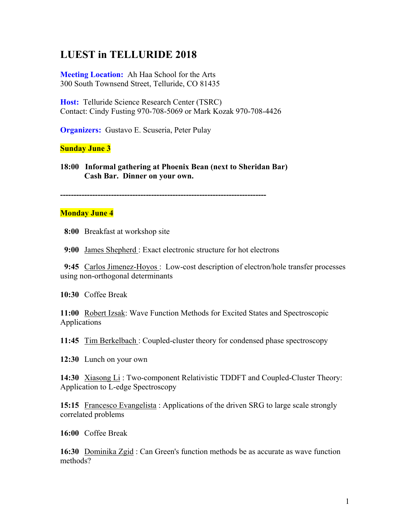# **LUEST in TELLURIDE 2018**

**Meeting Location:** Ah Haa School for the Arts 300 South Townsend Street, Telluride, CO 81435

**Host:** Telluride Science Research Center (TSRC) Contact: Cindy Fusting 970-708-5069 or Mark Kozak 970-708-4426

**Organizers:** Gustavo E. Scuseria, Peter Pulay

### **Sunday June 3**

**18:00 Informal gathering at Phoenix Bean (next to Sheridan Bar) Cash Bar. Dinner on your own.** 

**-----------------------------------------------------------------------------**

#### **Monday June 4**

**8:00** Breakfast at workshop site

**9:00** James Shepherd : Exact electronic structure for hot electrons

**9:45** Carlos Jimenez-Hoyos : Low-cost description of electron/hole transfer processes using non-orthogonal determinants

**10:30** Coffee Break

**11:00** Robert Izsak: Wave Function Methods for Excited States and Spectroscopic Applications

**11:45** Tim Berkelbach : Coupled-cluster theory for condensed phase spectroscopy

**12:30** Lunch on your own

**14:30** Xiasong Li : Two-component Relativistic TDDFT and Coupled-Cluster Theory: Application to L-edge Spectroscopy

**15:15** Francesco Evangelista : Applications of the driven SRG to large scale strongly correlated problems

**16:00** Coffee Break

**16:30** Dominika Zgid : Can Green's function methods be as accurate as wave function methods?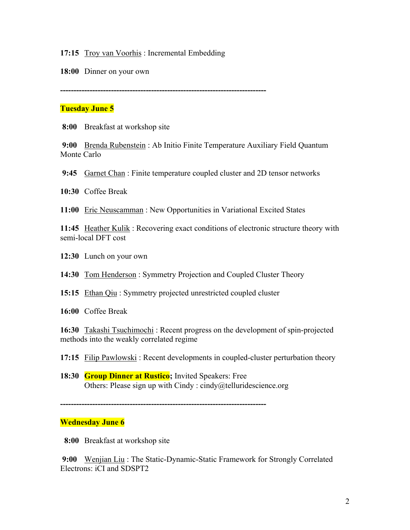**17:15** Troy van Voorhis: Incremental Embedding

**18:00** Dinner on your own

**-----------------------------------------------------------------------------**

# **Tuesday June 5**

 **8:00** Breakfast at workshop site

**9:00** Brenda Rubenstein : Ab Initio Finite Temperature Auxiliary Field Quantum Monte Carlo

**9:45** Garnet Chan : Finite temperature coupled cluster and 2D tensor networks

**10:30** Coffee Break

**11:00** Eric Neuscamman : New Opportunities in Variational Excited States

**11:45** Heather Kulik : Recovering exact conditions of electronic structure theory with semi-local DFT cost

**12:30** Lunch on your own

**14:30** Tom Henderson : Symmetry Projection and Coupled Cluster Theory

**15:15** Ethan Qiu : Symmetry projected unrestricted coupled cluster

**16:00** Coffee Break

**16:30** Takashi Tsuchimochi : Recent progress on the development of spin-projected methods into the weakly correlated regime

**17:15** Filip Pawlowski : Recent developments in coupled-cluster perturbation theory

**18:30 Group Dinner at Rustico;** Invited Speakers: Free Others: Please sign up with Cindy : cindy@telluridescience.org

**-----------------------------------------------------------------------------**

## **Wednesday June 6**

 **8:00** Breakfast at workshop site

**9:00** Wenjian Liu : The Static-Dynamic-Static Framework for Strongly Correlated Electrons: iCI and SDSPT2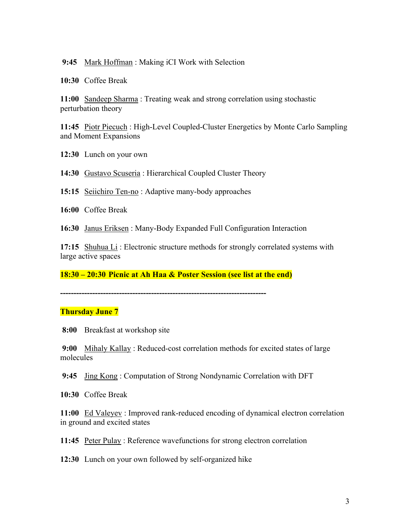#### **9:45** Mark Hoffman : Making iCI Work with Selection

**10:30** Coffee Break

**11:00** Sandeep Sharma : Treating weak and strong correlation using stochastic perturbation theory

**11:45** Piotr Piecuch : High-Level Coupled-Cluster Energetics by Monte Carlo Sampling and Moment Expansions

**12:30** Lunch on your own

**14:30** Gustavo Scuseria : Hierarchical Coupled Cluster Theory

**15:15** Seiichiro Ten-no : Adaptive many-body approaches

**16:00** Coffee Break

**16:30** Janus Eriksen : Many-Body Expanded Full Configuration Interaction

**17:15** Shuhua Li : Electronic structure methods for strongly correlated systems with large active spaces

**18:30 – 20:30 Picnic at Ah Haa & Poster Session (see list at the end)** 

**-----------------------------------------------------------------------------**

#### **Thursday June 7**

 **8:00** Breakfast at workshop site

**9:00** Mihaly Kallay : Reduced-cost correlation methods for excited states of large molecules

**9:45** Jing Kong : Computation of Strong Nondynamic Correlation with DFT

**10:30** Coffee Break

**11:00** Ed Valeyev : Improved rank-reduced encoding of dynamical electron correlation in ground and excited states

**11:45** Peter Pulay : Reference wavefunctions for strong electron correlation

**12:30** Lunch on your own followed by self-organized hike